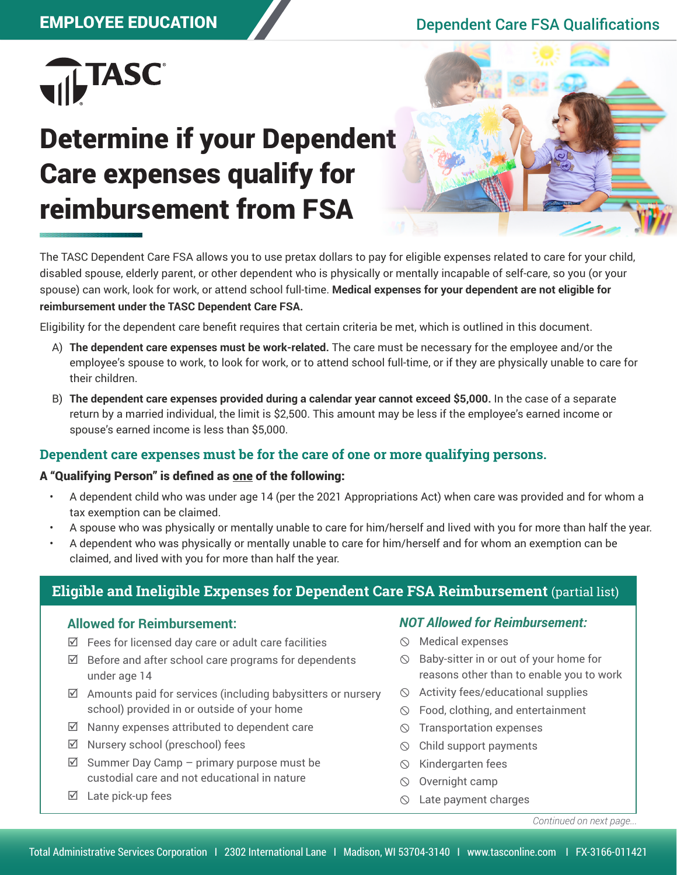# EMPLOYEE EDUCATION Dependent Care FSA Qualifications



# Determine if your Dependent Care expenses qualify for reimbursement from FSA



The TASC Dependent Care FSA allows you to use pretax dollars to pay for eligible expenses related to care for your child, disabled spouse, elderly parent, or other dependent who is physically or mentally incapable of self-care, so you (or your spouse) can work, look for work, or attend school full-time. **Medical expenses for your dependent are not eligible for reimbursement under the TASC Dependent Care FSA.**

Eligibility for the dependent care benefit requires that certain criteria be met, which is outlined in this document.

- A) **The dependent care expenses must be work-related.** The care must be necessary for the employee and/or the employee's spouse to work, to look for work, or to attend school full-time, or if they are physically unable to care for their children.
- B) **The dependent care expenses provided during a calendar year cannot exceed \$5,000.** In the case of a separate return by a married individual, the limit is \$2,500. This amount may be less if the employee's earned income or spouse's earned income is less than \$5,000.

## **Dependent care expenses must be for the care of one or more qualifying persons.**

#### A "Qualifying Person" is defined as one of the following:

- A dependent child who was under age 14 (per the 2021 Appropriations Act) when care was provided and for whom a tax exemption can be claimed.
- A spouse who was physically or mentally unable to care for him/herself and lived with you for more than half the year.
- A dependent who was physically or mentally unable to care for him/herself and for whom an exemption can be claimed, and lived with you for more than half the year.

# **Eligible and Ineligible Expenses for Dependent Care FSA Reimbursement** (partial list)

#### **Allowed for Reimbursement:**

- $\boxtimes$  Fees for licensed day care or adult care facilities
- $\boxtimes$  Before and after school care programs for dependents under age 14
- $\boxtimes$  Amounts paid for services (including babysitters or nursery school) provided in or outside of your home
- $\boxtimes$  Nanny expenses attributed to dependent care
- $\boxtimes$  Nursery school (preschool) fees
- $\boxtimes$  Summer Day Camp primary purpose must be custodial care and not educational in nature
- $\boxtimes$  Late pick-up fees

### *NOT Allowed for Reimbursement:*

- $\circledcirc$  Medical expenses
- $\circledcirc$  Baby-sitter in or out of your home for reasons other than to enable you to work
- $\Diamond$  Activity fees/educational supplies
- Food, clothing, and entertainment
- $\circledcirc$  Transportation expenses
- $\circledcirc$  Child support payments
- $\circledcirc$  Kindergarten fees
- $\circledcirc$  Overnight camp
- $\circledcirc$  Late payment charges

*Continued on next page...*